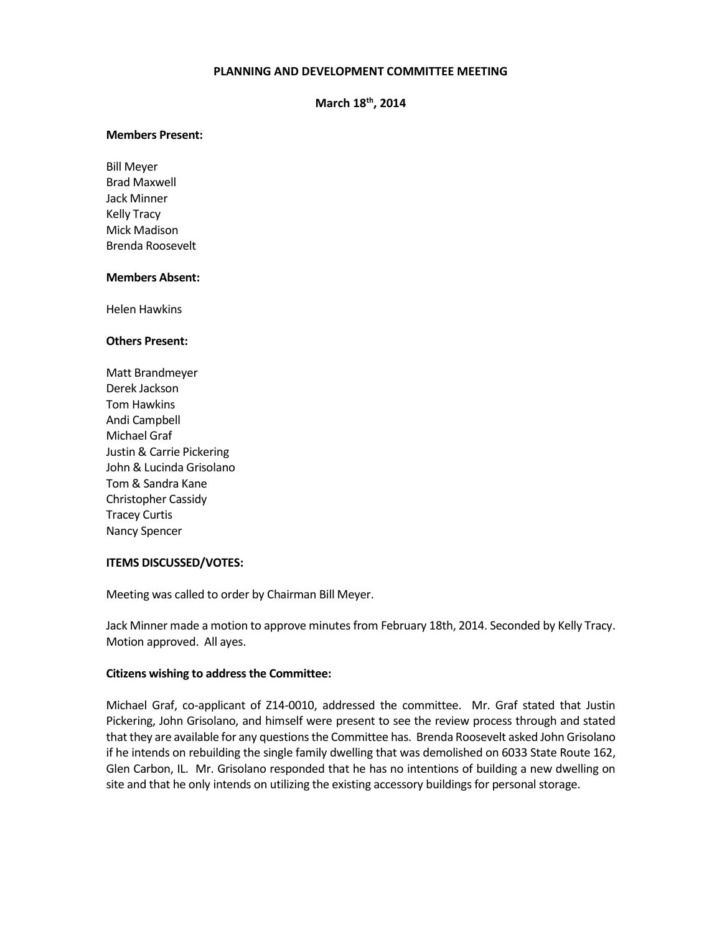## **PLANNING AND DEVELOPMENT COMMITTEE MEETING**

**March 18th, 2014**

#### **Members Present:**

Bill Meyer Brad Maxwell Jack Minner Kelly Tracy Mick Madison Brenda Roosevelt

### **Members Absent:**

Helen Hawkins

### **Others Present:**

Matt Brandmeyer Derek Jackson Tom Hawkins Andi Campbell Michael Graf Justin & Carrie Pickering John & Lucinda Grisolano Tom & Sandra Kane Christopher Cassidy Tracey Curtis Nancy Spencer

### **ITEMS DISCUSSED/VOTES:**

Meeting was called to order by Chairman Bill Meyer.

Jack Minner made a motion to approve minutes from February 18th, 2014. Seconded by Kelly Tracy. Motion approved. All ayes.

### **Citizens wishing to address the Committee:**

Michael Graf, co-applicant of Z14-0010, addressed the committee. Mr. Graf stated that Justin Pickering, John Grisolano, and himself were present to see the review process through and stated that they are available for any questions the Committee has. Brenda Roosevelt asked John Grisolano if he intends on rebuilding the single family dwelling that was demolished on 6033 State Route 162, Glen Carbon, IL. Mr. Grisolano responded that he has no intentions of building a new dwelling on site and that he only intends on utilizing the existing accessory buildings for personal storage.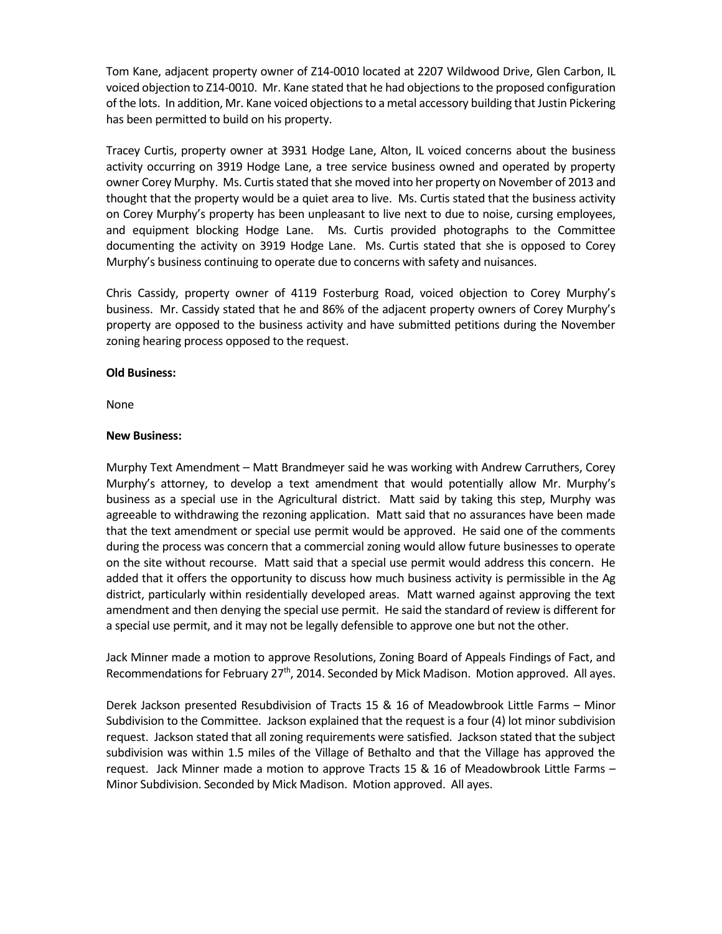Tom Kane, adjacent property owner of Z14-0010 located at 2207 Wildwood Drive, Glen Carbon, IL voiced objection to Z14-0010. Mr. Kane stated that he had objections to the proposed configuration of the lots. In addition, Mr. Kane voiced objections to a metal accessory building that Justin Pickering has been permitted to build on his property.

Tracey Curtis, property owner at 3931 Hodge Lane, Alton, IL voiced concerns about the business activity occurring on 3919 Hodge Lane, a tree service business owned and operated by property owner Corey Murphy. Ms. Curtis stated that she moved into her property on November of 2013 and thought that the property would be a quiet area to live. Ms. Curtis stated that the business activity on Corey Murphy's property has been unpleasant to live next to due to noise, cursing employees, and equipment blocking Hodge Lane. Ms. Curtis provided photographs to the Committee documenting the activity on 3919 Hodge Lane. Ms. Curtis stated that she is opposed to Corey Murphy's business continuing to operate due to concerns with safety and nuisances.

Chris Cassidy, property owner of 4119 Fosterburg Road, voiced objection to Corey Murphy's business. Mr. Cassidy stated that he and 86% of the adjacent property owners of Corey Murphy's property are opposed to the business activity and have submitted petitions during the November zoning hearing process opposed to the request.

## **Old Business:**

None

## **New Business:**

Murphy Text Amendment – Matt Brandmeyer said he was working with Andrew Carruthers, Corey Murphy's attorney, to develop a text amendment that would potentially allow Mr. Murphy's business as a special use in the Agricultural district. Matt said by taking this step, Murphy was agreeable to withdrawing the rezoning application. Matt said that no assurances have been made that the text amendment or special use permit would be approved. He said one of the comments during the process was concern that a commercial zoning would allow future businesses to operate on the site without recourse. Matt said that a special use permit would address this concern. He added that it offers the opportunity to discuss how much business activity is permissible in the Ag district, particularly within residentially developed areas. Matt warned against approving the text amendment and then denying the special use permit. He said the standard of review is different for a special use permit, and it may not be legally defensible to approve one but not the other.

Jack Minner made a motion to approve Resolutions, Zoning Board of Appeals Findings of Fact, and Recommendations for February 27<sup>th</sup>, 2014. Seconded by Mick Madison. Motion approved. All ayes.

Derek Jackson presented Resubdivision of Tracts 15 & 16 of Meadowbrook Little Farms – Minor Subdivision to the Committee. Jackson explained that the request is a four (4) lot minor subdivision request. Jackson stated that all zoning requirements were satisfied. Jackson stated that the subject subdivision was within 1.5 miles of the Village of Bethalto and that the Village has approved the request. Jack Minner made a motion to approve Tracts 15 & 16 of Meadowbrook Little Farms – Minor Subdivision. Seconded by Mick Madison. Motion approved. All ayes.